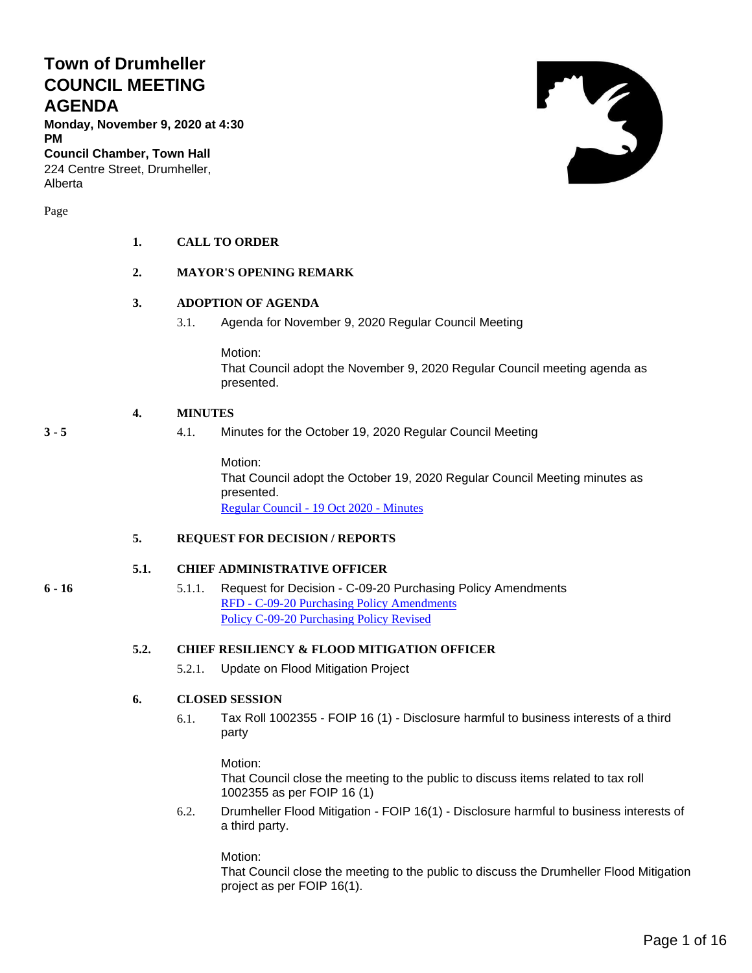# **Town of Drumheller COUNCIL MEETING AGENDA**

**Monday, November 9, 2020 at 4:30 PM**

**Council Chamber, Town Hall** 224 Centre Street, Drumheller, Alberta

Page

#### **1. CALL TO ORDER**

#### **2. MAYOR'S OPENING REMARK**

#### **3. ADOPTION OF AGENDA**

3.1. Agenda for November 9, 2020 Regular Council Meeting

Motion: That Council adopt the November 9, 2020 Regular Council meeting agenda as presented.

#### **4. MINUTES**

#### **3 - 5** 4.1. Minutes for the October 19, 2020 Regular Council Meeting

Motion: That Council adopt the October 19, 2020 Regular Council Meeting minutes as presented. [Regular Council -](#page-2-0) 19 Oct 2020 - Minutes

#### **5. REQUEST FOR DECISION / REPORTS**

#### **5.1. CHIEF ADMINISTRATIVE OFFICER**

- 
- **6 - 16** 5.1.1. Request for Decision C-09-20 Purchasing Policy Amendments RFD - [C-09-20 Purchasing Policy Amendments](#page-5-0) [Policy C-09-20 Purchasing Policy Revised](#page-7-0)

#### **5.2. CHIEF RESILIENCY & FLOOD MITIGATION OFFICER**

5.2.1. Update on Flood Mitigation Project

#### **6. CLOSED SESSION**

6.1. Tax Roll 1002355 - FOIP 16 (1) - Disclosure harmful to business interests of a third party

Motion:

That Council close the meeting to the public to discuss items related to tax roll 1002355 as per FOIP 16 (1)

6.2. Drumheller Flood Mitigation - FOIP 16(1) - Disclosure harmful to business interests of a third party.

Motion:

That Council close the meeting to the public to discuss the Drumheller Flood Mitigation project as per FOIP 16(1).

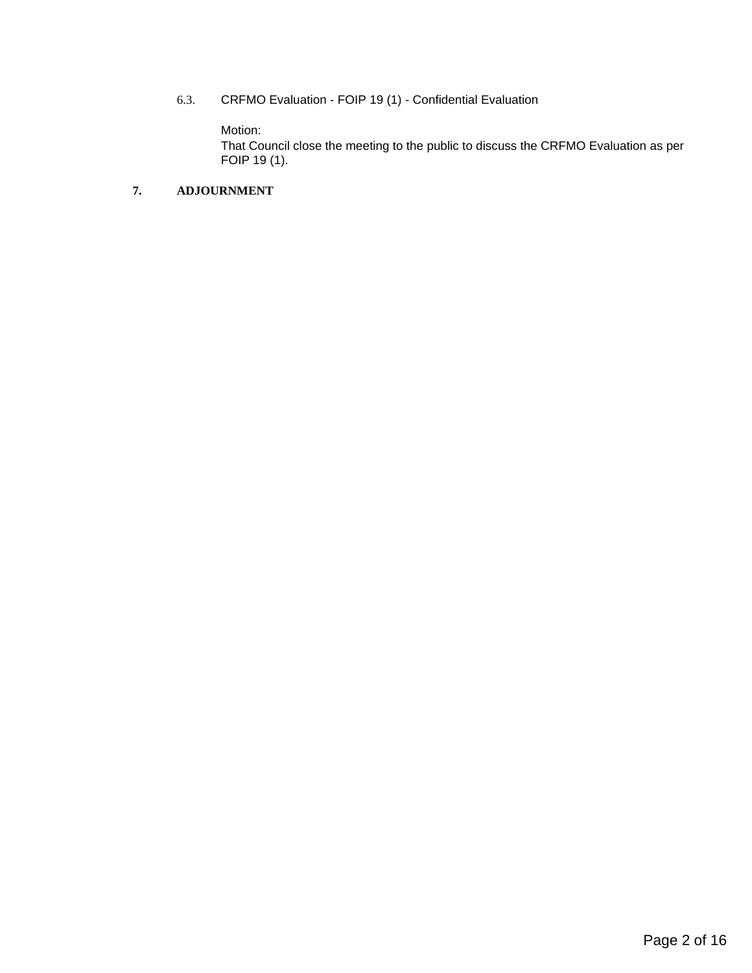6.3. CRFMO Evaluation - FOIP 19 (1) - Confidential Evaluation

Motion:

That Council close the meeting to the public to discuss the CRFMO Evaluation as per FOIP 19 (1).

#### **7. ADJOURNMENT**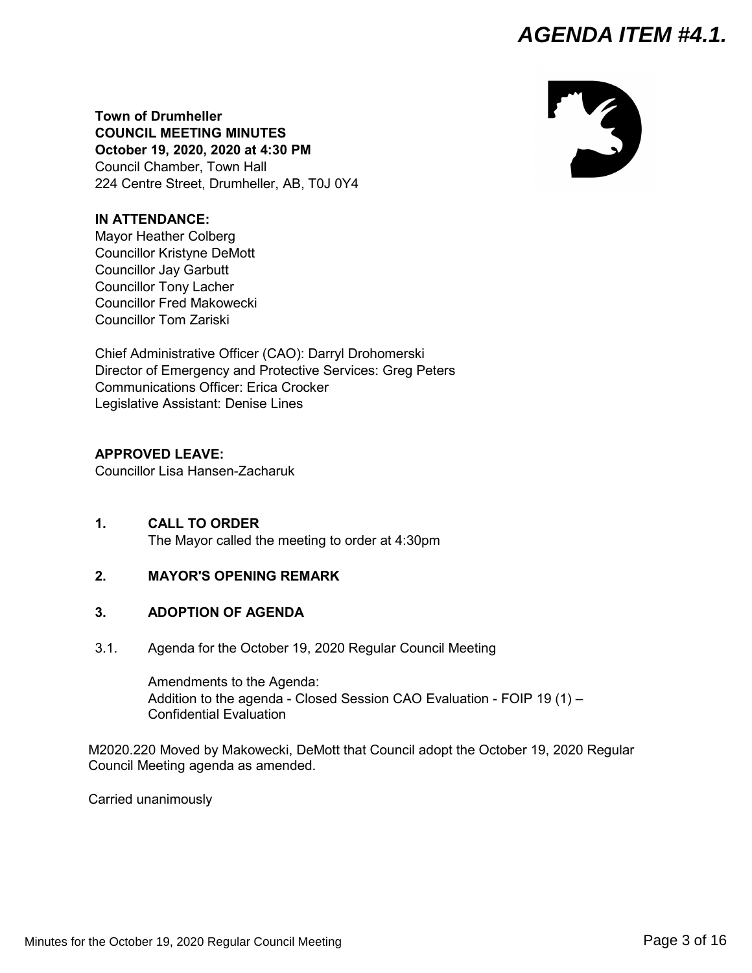# *AGENDA ITEM #4.1.*



<span id="page-2-0"></span>**Town of Drumheller COUNCIL MEETING MINUTES October 19, 2020, 2020 at 4:30 PM** Council Chamber, Town Hall 224 Centre Street, Drumheller, AB, T0J 0Y4

#### **IN ATTENDANCE:**

Mayor Heather Colberg Councillor Kristyne DeMott Councillor Jay Garbutt Councillor Tony Lacher Councillor Fred Makowecki Councillor Tom Zariski

Chief Administrative Officer (CAO): Darryl Drohomerski Director of Emergency and Protective Services: Greg Peters Communications Officer: Erica Crocker Legislative Assistant: Denise Lines

#### **APPROVED LEAVE:**

Councillor Lisa Hansen-Zacharuk

**1. CALL TO ORDER** The Mayor called the meeting to order at 4:30pm

#### **2. MAYOR'S OPENING REMARK**

#### **3. ADOPTION OF AGENDA**

3.1. Agenda for the October 19, 2020 Regular Council Meeting

Amendments to the Agenda: Addition to the agenda - Closed Session CAO Evaluation - FOIP 19 (1) – Confidential Evaluation

M2020.220 Moved by Makowecki, DeMott that Council adopt the October 19, 2020 Regular Council Meeting agenda as amended.

Carried unanimously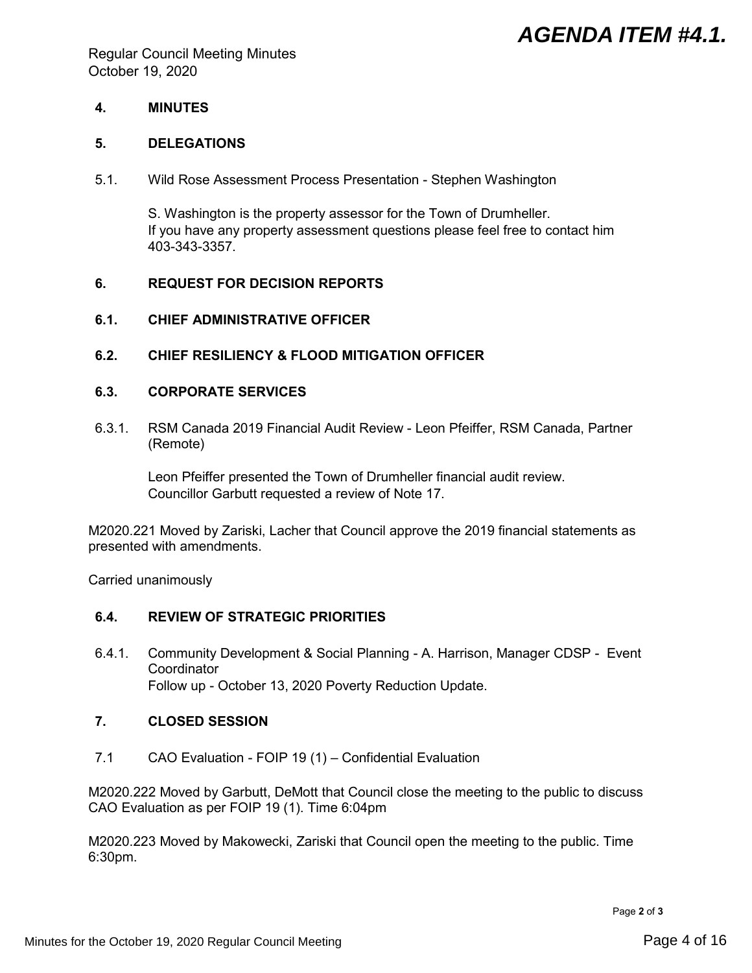# *AGENDA ITEM #4.1.*

Regular Council Meeting Minutes October 19, 2020

#### **4. MINUTES**

#### **5. DELEGATIONS**

5.1. Wild Rose Assessment Process Presentation - Stephen Washington

S. Washington is the property assessor for the Town of Drumheller. If you have any property assessment questions please feel free to contact him 403-343-3357.

#### **6. REQUEST FOR DECISION REPORTS**

#### **6.1. CHIEF ADMINISTRATIVE OFFICER**

**6.2. CHIEF RESILIENCY & FLOOD MITIGATION OFFICER**

#### **6.3. CORPORATE SERVICES**

6.3.1. RSM Canada 2019 Financial Audit Review - Leon Pfeiffer, RSM Canada, Partner (Remote)

Leon Pfeiffer presented the Town of Drumheller financial audit review. Councillor Garbutt requested a review of Note 17.

M2020.221 Moved by Zariski, Lacher that Council approve the 2019 financial statements as presented with amendments.

Carried unanimously

#### **6.4. REVIEW OF STRATEGIC PRIORITIES**

6.4.1. Community Development & Social Planning - A. Harrison, Manager CDSP - Event **Coordinator** Follow up - October 13, 2020 Poverty Reduction Update.

#### **7. CLOSED SESSION**

7.1 CAO Evaluation - FOIP 19 (1) – Confidential Evaluation

M2020.222 Moved by Garbutt, DeMott that Council close the meeting to the public to discuss CAO Evaluation as per FOIP 19 (1). Time 6:04pm

M2020.223 Moved by Makowecki, Zariski that Council open the meeting to the public. Time 6:30pm.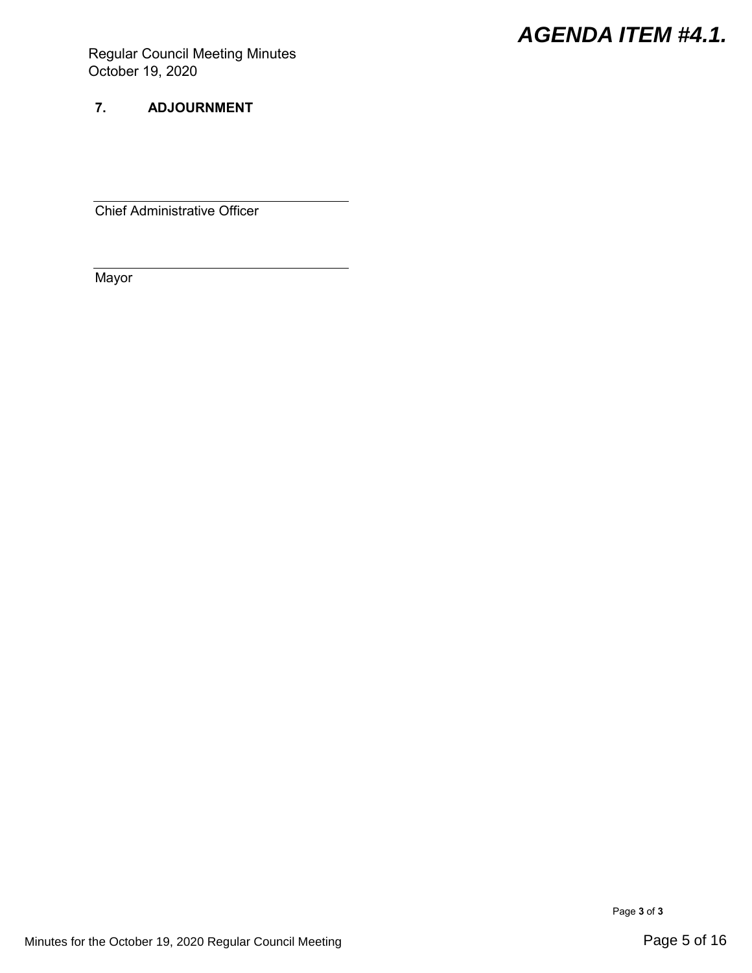# *AGENDA ITEM #4.1.*

Regular Council Meeting Minutes October 19, 2020

## **7. ADJOURNMENT**

Chief Administrative Officer

**Mayor** 

Page **3** of **3**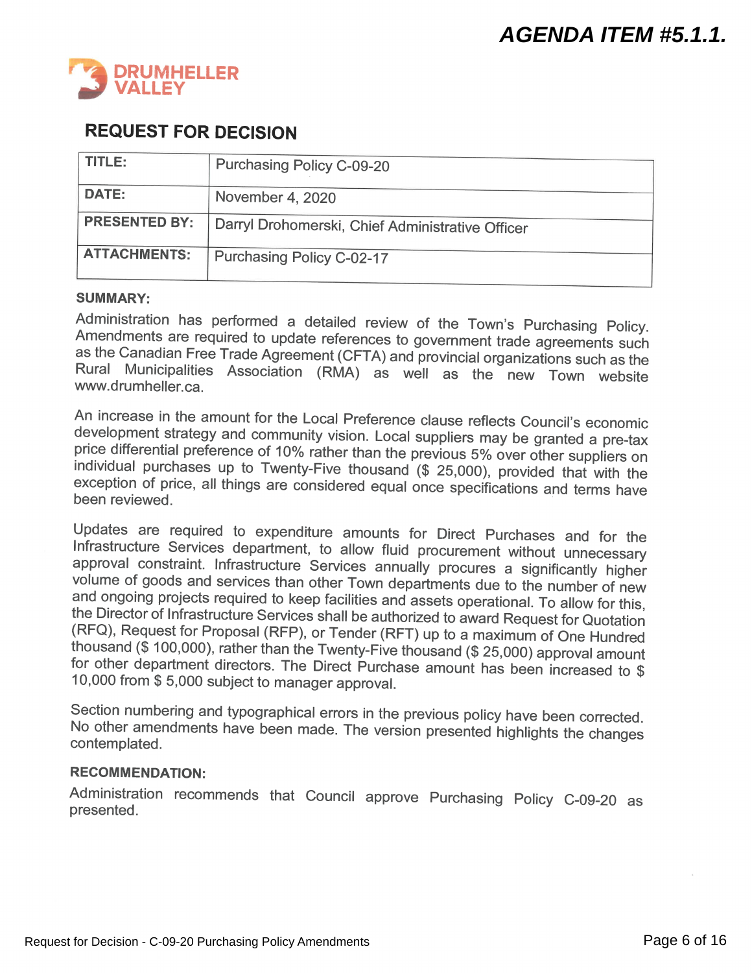<span id="page-5-0"></span>

# **REQUEST FOR DECISION**

| TITLE:               | <b>Purchasing Policy C-09-20</b>                 |
|----------------------|--------------------------------------------------|
| <b>DATE:</b>         | November 4, 2020                                 |
| <b>PRESENTED BY:</b> | Darryl Drohomerski, Chief Administrative Officer |
| <b>ATTACHMENTS:</b>  | Purchasing Policy C-02-17                        |

#### **SUMMARY:**

Administration has performed a detailed review of the Town's Purchasing Policy. Amendments are required to update references to government trade agreements such as the Canadian Free Trade Agreement (CFTA) and provincial organizations such as the Rural Municipalities Association (RMA) as well as the new Town website www.drumheller.ca.

An increase in the amount for the Local Preference clause reflects Council's economic development strategy and community vision. Local suppliers may be granted a pre-tax price differential preference of 10% rather than the previous 5% over other suppliers on individual purchases up to Twenty-Five thousand (\$ 25,000), provided that with the  $\frac{1}{2}$  exception of price, all things are considered equal once specifications and terms have been reviewed.

Updates are required to expenditure amounts for Direct Purchases and for the Infrastructure Services department, to allow fluid procurement without unnecessary approval constraint. Infrastructure Services annually procures a significantly higher volume of goods and services than other Town departments due to the number of new and ongoing projects required to keep facilities and assets operational. To allow for this, the Director of Infrastructure Services shall be authorized to award Request for Quotation (RFQ), Request for Proposal (RFP), or Tender (RFT) up to a maximum of One Hundred thousand (\$ 100,000), rather than the Twenty-Five thousand (\$ 25,000) approval amount for other department directors. The Direct Purchase amount has been increased to \$ 10,000 from \$5,000 subject to manager approval.

Section numbering and typographical errors in the previous policy have been corrected. No other amendments have been made. The version presented highlights the changes contemplated.

#### **RECOMMENDATION:**

Administration recommends that Council approve Purchasing Policy C-09-20 as presented.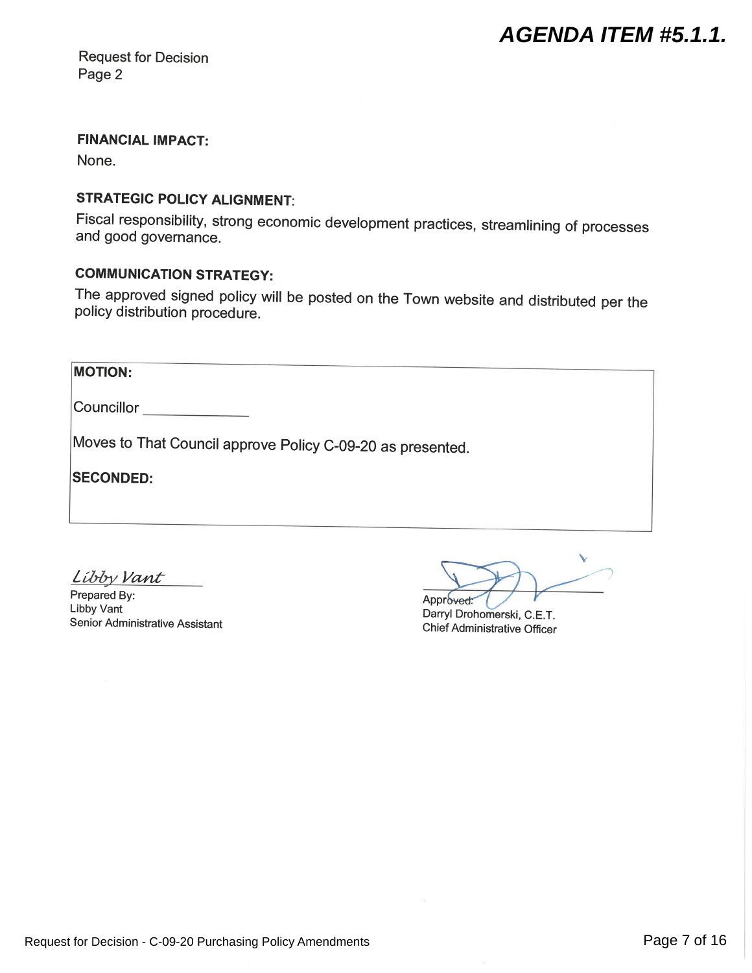**Request for Decision** Page 2

# **FINANCIAL IMPACT:**

None.

# **STRATEGIC POLICY ALIGNMENT:**

Fiscal responsibility, strong economic development practices, streamlining of processes and good governance.

# **COMMUNICATION STRATEGY:**

The approved signed policy will be posted on the Town website and distributed per the policy distribution procedure.

| <b>MOTION:</b>                                             |  |
|------------------------------------------------------------|--|
| Councillor                                                 |  |
| Moves to That Council approve Policy C-09-20 as presented. |  |
| <b>SECONDED:</b>                                           |  |
|                                                            |  |
|                                                            |  |

Libby Vant

Prepared By: Libby Vant Senior Administrative Assistant

Approved:

Darryl Drohomerski, C.E.T. **Chief Administrative Officer**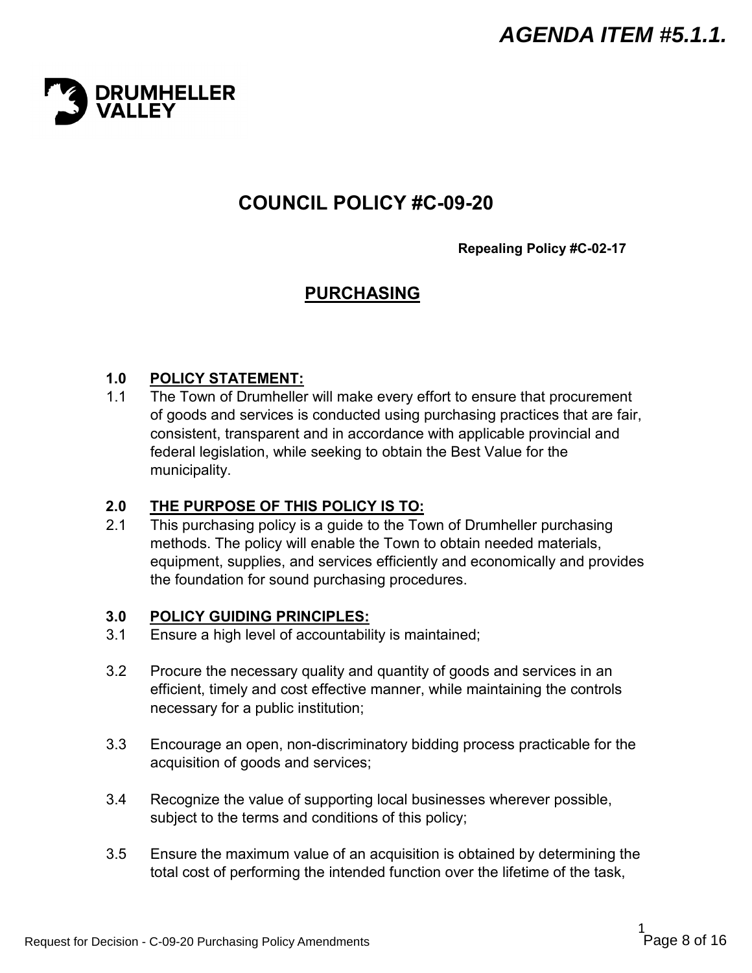<span id="page-7-0"></span>

# **COUNCIL POLICY #C-09-20**

**Repealing Policy #C-02-17**

# **PURCHASING**

## **1.0 POLICY STATEMENT:**

1.1 The Town of Drumheller will make every effort to ensure that procurement of goods and services is conducted using purchasing practices that are fair, consistent, transparent and in accordance with applicable provincial and federal legislation, while seeking to obtain the Best Value for the municipality.

#### **2.0 THE PURPOSE OF THIS POLICY IS TO:**

2.1 This purchasing policy is a guide to the Town of Drumheller purchasing methods. The policy will enable the Town to obtain needed materials, equipment, supplies, and services efficiently and economically and provides the foundation for sound purchasing procedures.

#### **3.0 POLICY GUIDING PRINCIPLES:**

- 3.1 Ensure a high level of accountability is maintained;
- 3.2 Procure the necessary quality and quantity of goods and services in an efficient, timely and cost effective manner, while maintaining the controls necessary for a public institution;
- 3.3 Encourage an open, non-discriminatory bidding process practicable for the acquisition of goods and services;
- 3.4 Recognize the value of supporting local businesses wherever possible, subject to the terms and conditions of this policy;
- 3.5 Ensure the maximum value of an acquisition is obtained by determining the total cost of performing the intended function over the lifetime of the task,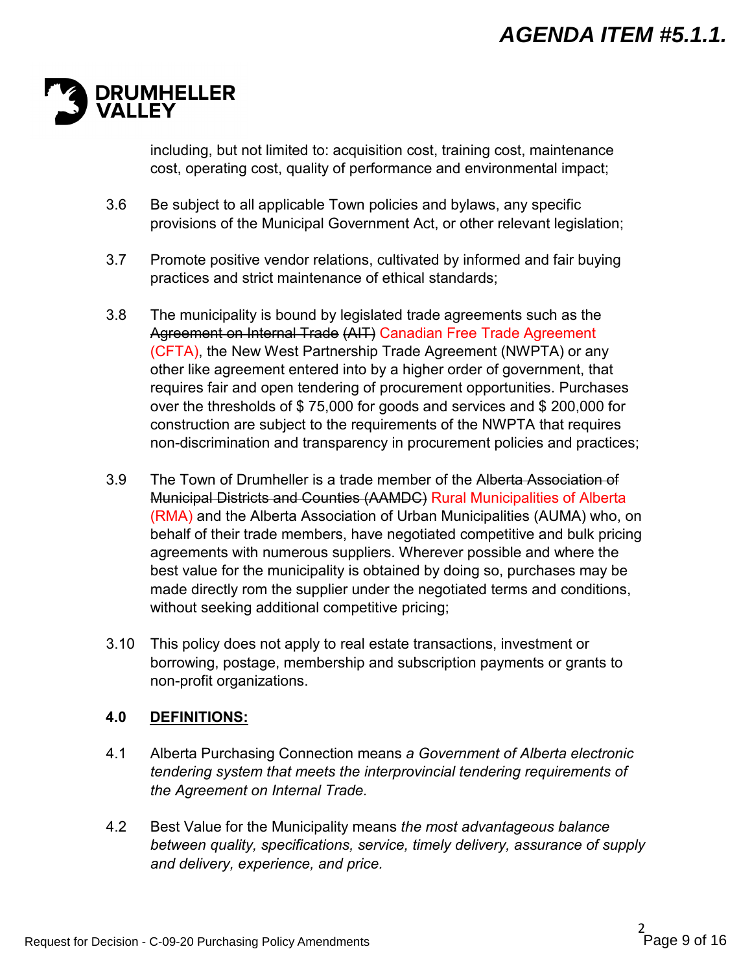

including, but not limited to: acquisition cost, training cost, maintenance cost, operating cost, quality of performance and environmental impact;

- 3.6 Be subject to all applicable Town policies and bylaws, any specific provisions of the Municipal Government Act, or other relevant legislation;
- 3.7 Promote positive vendor relations, cultivated by informed and fair buying practices and strict maintenance of ethical standards;
- 3.8 The municipality is bound by legislated trade agreements such as the Agreement on Internal Trade (AIT) Canadian Free Trade Agreement (CFTA), the New West Partnership Trade Agreement (NWPTA) or any other like agreement entered into by a higher order of government, that requires fair and open tendering of procurement opportunities. Purchases over the thresholds of \$ 75,000 for goods and services and \$ 200,000 for construction are subject to the requirements of the NWPTA that requires non-discrimination and transparency in procurement policies and practices;
- 3.9 The Town of Drumheller is a trade member of the Alberta Association of Municipal Districts and Counties (AAMDC) Rural Municipalities of Alberta (RMA) and the Alberta Association of Urban Municipalities (AUMA) who, on behalf of their trade members, have negotiated competitive and bulk pricing agreements with numerous suppliers. Wherever possible and where the best value for the municipality is obtained by doing so, purchases may be made directly rom the supplier under the negotiated terms and conditions, without seeking additional competitive pricing;
- 3.10 This policy does not apply to real estate transactions, investment or borrowing, postage, membership and subscription payments or grants to non-profit organizations.

# **4.0 DEFINITIONS:**

- 4.1 Alberta Purchasing Connection means *a Government of Alberta electronic tendering system that meets the interprovincial tendering requirements of the Agreement on Internal Trade.*
- 4.2 Best Value for the Municipality means *the most advantageous balance between quality, specifications, service, timely delivery, assurance of supply and delivery, experience, and price.*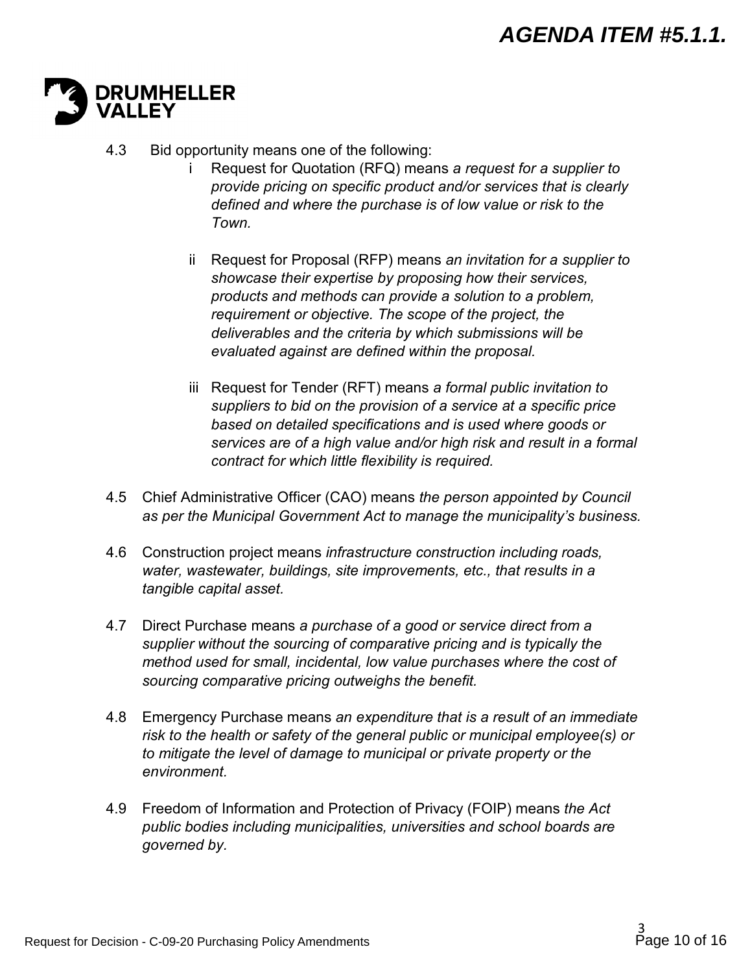

- 4.3 Bid opportunity means one of the following:
	- i Request for Quotation (RFQ) means *a request for a supplier to provide pricing on specific product and/or services that is clearly defined and where the purchase is of low value or risk to the Town.*
	- ii Request for Proposal (RFP) means *an invitation for a supplier to showcase their expertise by proposing how their services, products and methods can provide a solution to a problem, requirement or objective. The scope of the project, the deliverables and the criteria by which submissions will be evaluated against are defined within the proposal.*
	- iii Request for Tender (RFT) means *a formal public invitation to suppliers to bid on the provision of a service at a specific price based on detailed specifications and is used where goods or services are of a high value and/or high risk and result in a formal contract for which little flexibility is required.*
- 4.5 Chief Administrative Officer (CAO) means *the person appointed by Council as per the Municipal Government Act to manage the municipality's business.*
- 4.6 Construction project means *infrastructure construction including roads, water, wastewater, buildings, site improvements, etc., that results in a tangible capital asset.*
- 4.7 Direct Purchase means *a purchase of a good or service direct from a supplier without the sourcing of comparative pricing and is typically the method used for small, incidental, low value purchases where the cost of sourcing comparative pricing outweighs the benefit.*
- 4.8 Emergency Purchase means *an expenditure that is a result of an immediate risk to the health or safety of the general public or municipal employee(s) or to mitigate the level of damage to municipal or private property or the environment.*
- 4.9 Freedom of Information and Protection of Privacy (FOIP) means *the Act public bodies including municipalities, universities and school boards are governed by.*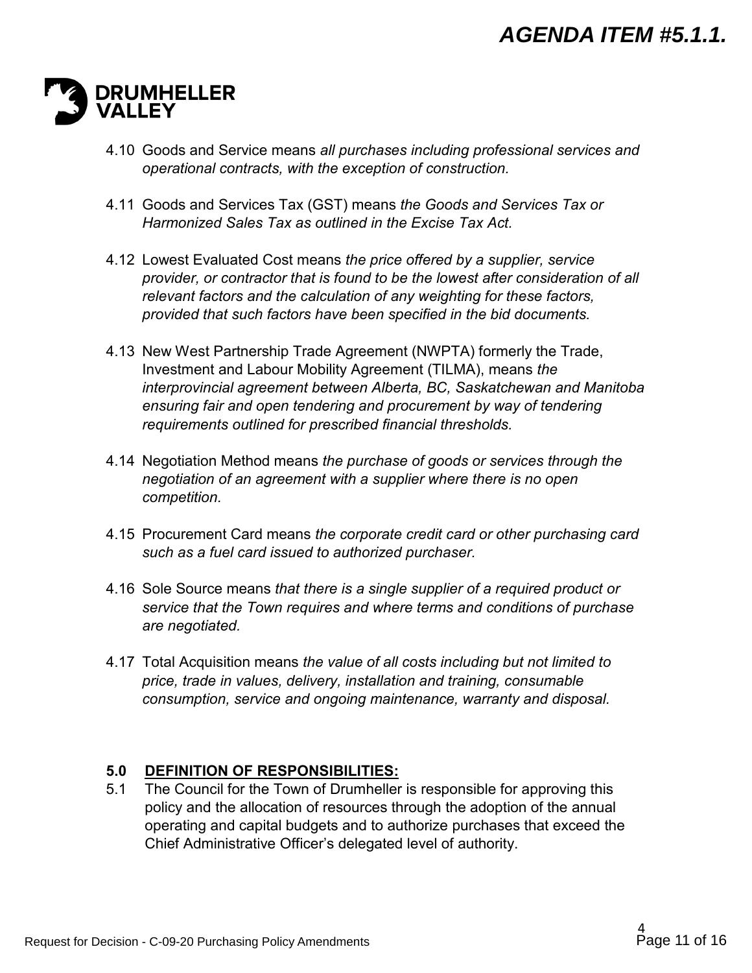

- 4.10 Goods and Service means *all purchases including professional services and operational contracts, with the exception of construction.*
- 4.11 Goods and Services Tax (GST) means *the Goods and Services Tax or Harmonized Sales Tax as outlined in the Excise Tax Act.*
- 4.12 Lowest Evaluated Cost means *the price offered by a supplier, service provider, or contractor that is found to be the lowest after consideration of all relevant factors and the calculation of any weighting for these factors, provided that such factors have been specified in the bid documents.*
- 4.13 New West Partnership Trade Agreement (NWPTA) formerly the Trade, Investment and Labour Mobility Agreement (TILMA), means *the interprovincial agreement between Alberta, BC, Saskatchewan and Manitoba ensuring fair and open tendering and procurement by way of tendering requirements outlined for prescribed financial thresholds.*
- 4.14 Negotiation Method means *the purchase of goods or services through the negotiation of an agreement with a supplier where there is no open competition.*
- 4.15 Procurement Card means *the corporate credit card or other purchasing card such as a fuel card issued to authorized purchaser.*
- 4.16 Sole Source means *that there is a single supplier of a required product or service that the Town requires and where terms and conditions of purchase are negotiated.*
- 4.17 Total Acquisition means *the value of all costs including but not limited to price, trade in values, delivery, installation and training, consumable consumption, service and ongoing maintenance, warranty and disposal.*

#### **5.0 DEFINITION OF RESPONSIBILITIES:**

5.1 The Council for the Town of Drumheller is responsible for approving this policy and the allocation of resources through the adoption of the annual operating and capital budgets and to authorize purchases that exceed the Chief Administrative Officer's delegated level of authority.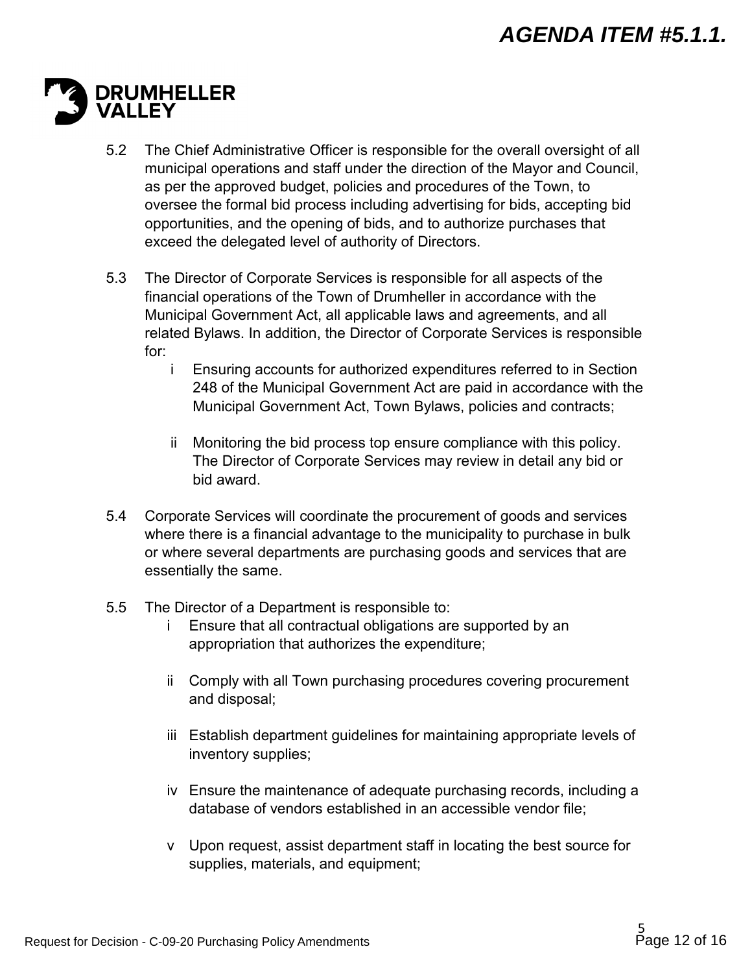# **DRUMHELLER**

- 5.2 The Chief Administrative Officer is responsible for the overall oversight of all municipal operations and staff under the direction of the Mayor and Council, as per the approved budget, policies and procedures of the Town, to oversee the formal bid process including advertising for bids, accepting bid opportunities, and the opening of bids, and to authorize purchases that exceed the delegated level of authority of Directors.
- 5.3 The Director of Corporate Services is responsible for all aspects of the financial operations of the Town of Drumheller in accordance with the Municipal Government Act, all applicable laws and agreements, and all related Bylaws. In addition, the Director of Corporate Services is responsible for:
	- i Ensuring accounts for authorized expenditures referred to in Section 248 of the Municipal Government Act are paid in accordance with the Municipal Government Act, Town Bylaws, policies and contracts;
	- ii Monitoring the bid process top ensure compliance with this policy. The Director of Corporate Services may review in detail any bid or bid award.
- 5.4 Corporate Services will coordinate the procurement of goods and services where there is a financial advantage to the municipality to purchase in bulk or where several departments are purchasing goods and services that are essentially the same.
- 5.5 The Director of a Department is responsible to:
	- i Ensure that all contractual obligations are supported by an appropriation that authorizes the expenditure;
	- ii Comply with all Town purchasing procedures covering procurement and disposal;
	- iii Establish department guidelines for maintaining appropriate levels of inventory supplies;
	- iv Ensure the maintenance of adequate purchasing records, including a database of vendors established in an accessible vendor file;
	- v Upon request, assist department staff in locating the best source for supplies, materials, and equipment;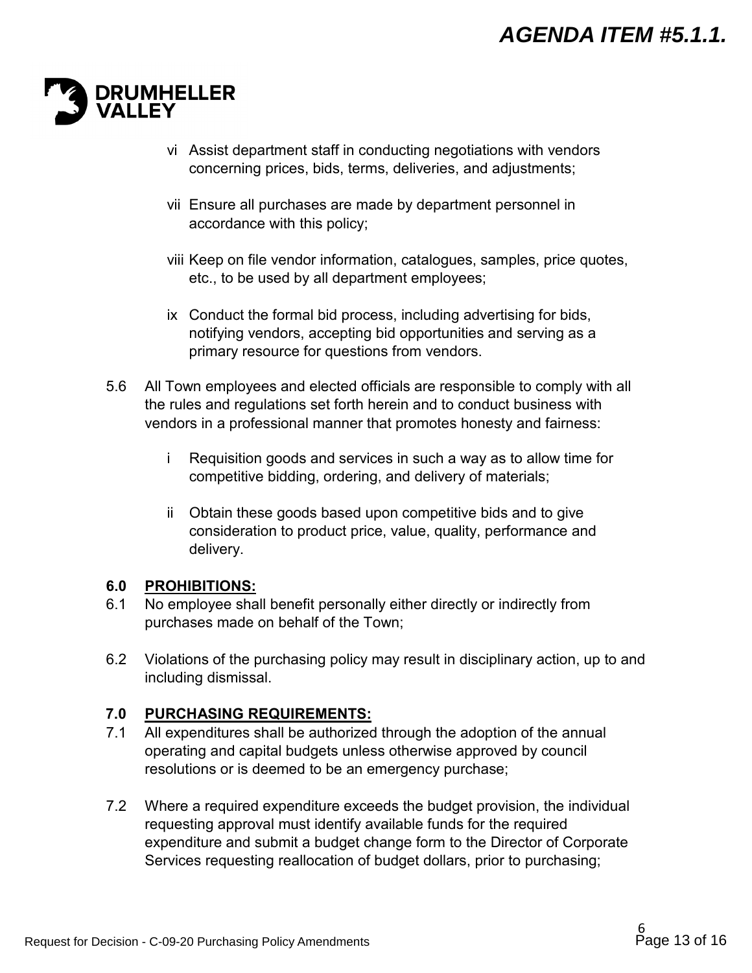

- vi Assist department staff in conducting negotiations with vendors concerning prices, bids, terms, deliveries, and adjustments;
- vii Ensure all purchases are made by department personnel in accordance with this policy;
- viii Keep on file vendor information, catalogues, samples, price quotes, etc., to be used by all department employees;
- ix Conduct the formal bid process, including advertising for bids, notifying vendors, accepting bid opportunities and serving as a primary resource for questions from vendors.
- 5.6 All Town employees and elected officials are responsible to comply with all the rules and regulations set forth herein and to conduct business with vendors in a professional manner that promotes honesty and fairness:
	- i Requisition goods and services in such a way as to allow time for competitive bidding, ordering, and delivery of materials;
	- ii Obtain these goods based upon competitive bids and to give consideration to product price, value, quality, performance and delivery.

#### **6.0 PROHIBITIONS:**

- 6.1 No employee shall benefit personally either directly or indirectly from purchases made on behalf of the Town;
- 6.2 Violations of the purchasing policy may result in disciplinary action, up to and including dismissal.

# **7.0 PURCHASING REQUIREMENTS:**

- 7.1 All expenditures shall be authorized through the adoption of the annual operating and capital budgets unless otherwise approved by council resolutions or is deemed to be an emergency purchase;
- 7.2 Where a required expenditure exceeds the budget provision, the individual requesting approval must identify available funds for the required expenditure and submit a budget change form to the Director of Corporate Services requesting reallocation of budget dollars, prior to purchasing;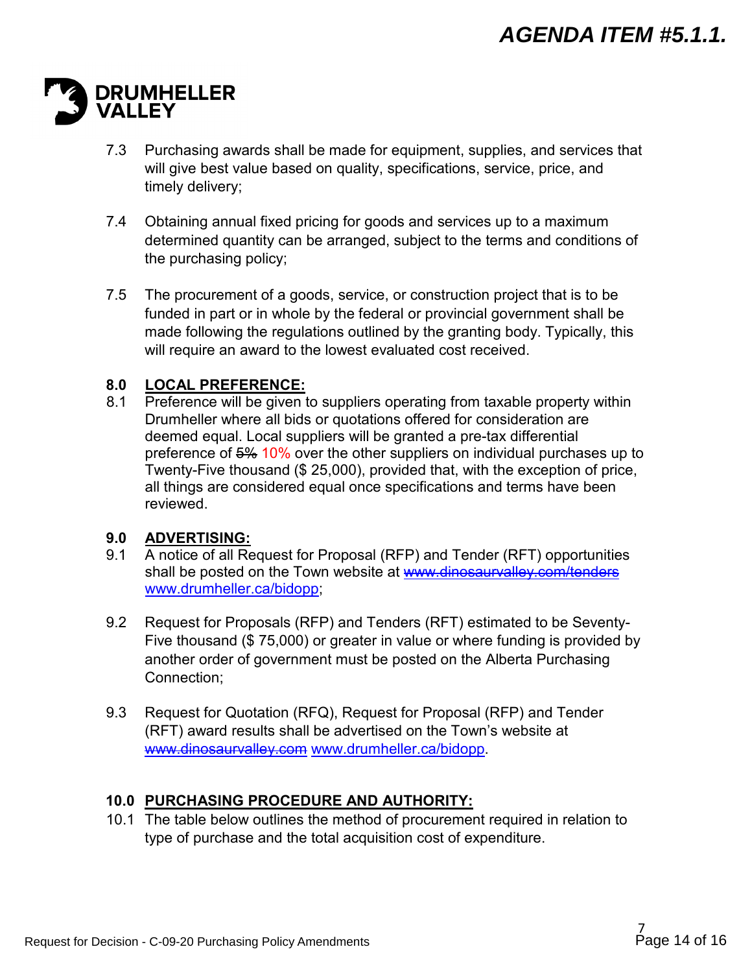# **DRUMHELLER**

- 7.3 Purchasing awards shall be made for equipment, supplies, and services that will give best value based on quality, specifications, service, price, and timely delivery;
- 7.4 Obtaining annual fixed pricing for goods and services up to a maximum determined quantity can be arranged, subject to the terms and conditions of the purchasing policy;
- 7.5 The procurement of a goods, service, or construction project that is to be funded in part or in whole by the federal or provincial government shall be made following the regulations outlined by the granting body. Typically, this will require an award to the lowest evaluated cost received.

## **8.0 LOCAL PREFERENCE:**

8.1 Preference will be given to suppliers operating from taxable property within Drumheller where all bids or quotations offered for consideration are deemed equal. Local suppliers will be granted a pre-tax differential preference of 5% 10% over the other suppliers on individual purchases up to Twenty-Five thousand (\$ 25,000), provided that, with the exception of price, all things are considered equal once specifications and terms have been reviewed.

# **9.0 ADVERTISING:**

- 9.1 A notice of all Request for Proposal (RFP) and Tender (RFT) opportunities shall be posted on the Town website at www.dinosaurvalley.com/tenders [www.drumheller.ca/bidopp;](http://www.drumheller.ca/bidopp)
- 9.2 Request for Proposals (RFP) and Tenders (RFT) estimated to be Seventy-Five thousand (\$ 75,000) or greater in value or where funding is provided by another order of government must be posted on the Alberta Purchasing Connection;
- 9.3 Request for Quotation (RFQ), Request for Proposal (RFP) and Tender (RFT) award results shall be advertised on the Town's website at [www.dinosaurvalley.com](http://www.dinosaurvalley.com/) [www.drumheller.ca/](http://www.drumheller.ca/)bidopp.

# **10.0 PURCHASING PROCEDURE AND AUTHORITY:**

10.1 The table below outlines the method of procurement required in relation to type of purchase and the total acquisition cost of expenditure.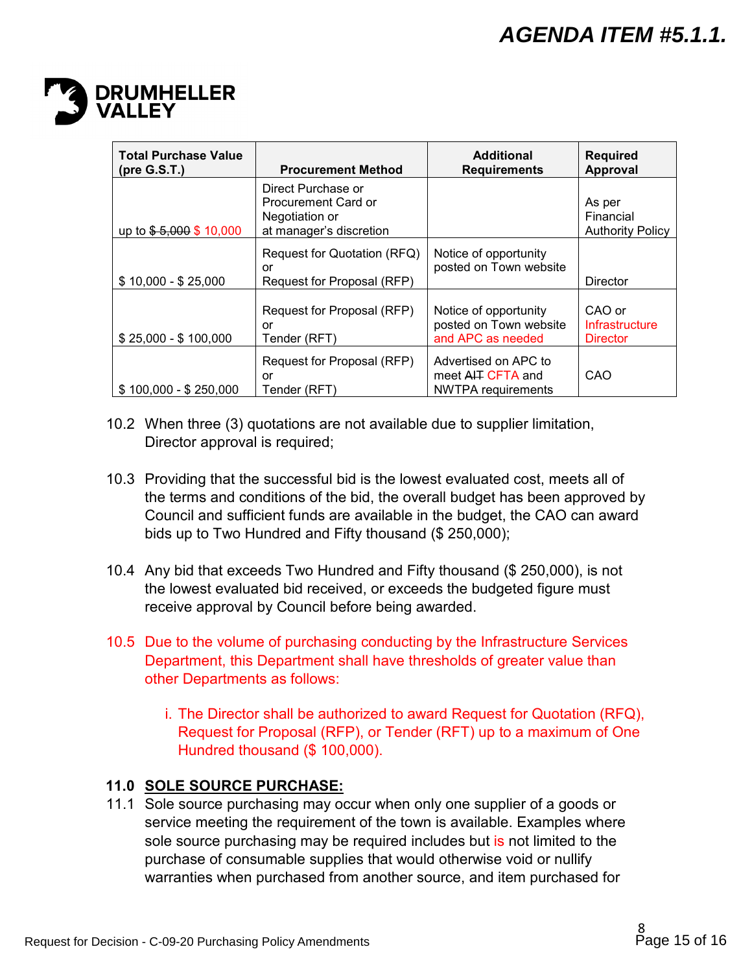

| <b>Total Purchase Value</b><br>(pre G.S.T.) | <b>Procurement Method</b>                                                              | <b>Additional</b><br><b>Requirements</b>                               | <b>Required</b><br><b>Approval</b>             |
|---------------------------------------------|----------------------------------------------------------------------------------------|------------------------------------------------------------------------|------------------------------------------------|
| up to $$-5,000$ \$ 10,000                   | Direct Purchase or<br>Procurement Card or<br>Negotiation or<br>at manager's discretion |                                                                        | As per<br>Financial<br><b>Authority Policy</b> |
| $$10,000 - $25,000$                         | Request for Quotation (RFQ)<br>or<br>Request for Proposal (RFP)                        | Notice of opportunity<br>posted on Town website                        | Director                                       |
| $$25,000 - $100,000$                        | Request for Proposal (RFP)<br>or<br>Tender (RFT)                                       | Notice of opportunity<br>posted on Town website<br>and APC as needed   | CAO or<br>Infrastructure<br><b>Director</b>    |
| $$100,000 - $250,000$                       | Request for Proposal (RFP)<br>or<br>Tender (RFT)                                       | Advertised on APC to<br>meet AIT CFTA and<br><b>NWTPA</b> requirements | CAO                                            |

- 10.2 When three (3) quotations are not available due to supplier limitation, Director approval is required;
- 10.3 Providing that the successful bid is the lowest evaluated cost, meets all of the terms and conditions of the bid, the overall budget has been approved by Council and sufficient funds are available in the budget, the CAO can award bids up to Two Hundred and Fifty thousand (\$ 250,000);
- 10.4 Any bid that exceeds Two Hundred and Fifty thousand (\$ 250,000), is not the lowest evaluated bid received, or exceeds the budgeted figure must receive approval by Council before being awarded.
- 10.5 Due to the volume of purchasing conducting by the Infrastructure Services Department, this Department shall have thresholds of greater value than other Departments as follows:
	- i. The Director shall be authorized to award Request for Quotation (RFQ), Request for Proposal (RFP), or Tender (RFT) up to a maximum of One Hundred thousand (\$ 100,000).

# **11.0 SOLE SOURCE PURCHASE:**

11.1 Sole source purchasing may occur when only one supplier of a goods or service meeting the requirement of the town is available. Examples where sole source purchasing may be required includes but is not limited to the purchase of consumable supplies that would otherwise void or nullify warranties when purchased from another source, and item purchased for